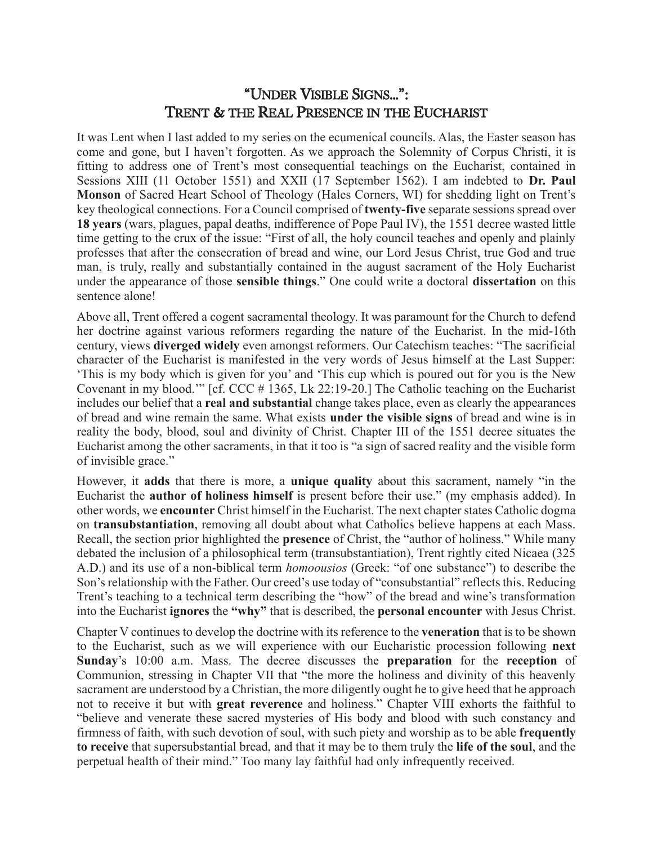## "UNDER VISIBLE SIGNS…": TRENT & THE REAL PRESENCE IN THE EUCHARIST

It was Lent when I last added to my series on the ecumenical councils. Alas, the Easter season has come and gone, but I haven't forgotten. As we approach the Solemnity of Corpus Christi, it is fitting to address one of Trent's most consequential teachings on the Eucharist, contained in Sessions XIII (11 October 1551) and XXII (17 September 1562). I am indebted to **Dr. Paul Monson** of Sacred Heart School of Theology (Hales Corners, WI) for shedding light on Trent's key theological connections. For a Council comprised of **twenty-five** separate sessions spread over **18 years** (wars, plagues, papal deaths, indifference of Pope Paul IV), the 1551 decree wasted little time getting to the crux of the issue: "First of all, the holy council teaches and openly and plainly professes that after the consecration of bread and wine, our Lord Jesus Christ, true God and true man, is truly, really and substantially contained in the august sacrament of the Holy Eucharist under the appearance of those **sensible things**." One could write a doctoral **dissertation** on this sentence alone!

Above all, Trent offered a cogent sacramental theology. It was paramount for the Church to defend her doctrine against various reformers regarding the nature of the Eucharist. In the mid-16th century, views **diverged widely** even amongst reformers. Our Catechism teaches: "The sacrificial character of the Eucharist is manifested in the very words of Jesus himself at the Last Supper: 'This is my body which is given for you' and 'This cup which is poured out for you is the New Covenant in my blood.'" [cf. CCC # 1365, Lk 22:19-20.] The Catholic teaching on the Eucharist includes our belief that a **real and substantial** change takes place, even as clearly the appearances of bread and wine remain the same. What exists **under the visible signs** of bread and wine is in reality the body, blood, soul and divinity of Christ. Chapter III of the 1551 decree situates the Eucharist among the other sacraments, in that it too is "a sign of sacred reality and the visible form of invisible grace."

However, it **adds** that there is more, a **unique quality** about this sacrament, namely "in the Eucharist the **author of holiness himself** is present before their use." (my emphasis added). In other words, we **encounter** Christ himself in the Eucharist. The next chapter states Catholic dogma on **transubstantiation**, removing all doubt about what Catholics believe happens at each Mass. Recall, the section prior highlighted the **presence** of Christ, the "author of holiness." While many debated the inclusion of a philosophical term (transubstantiation), Trent rightly cited Nicaea (325 A.D.) and its use of a non-biblical term *homoousios* (Greek: "of one substance") to describe the Son's relationship with the Father. Our creed's use today of "consubstantial" reflects this. Reducing Trent's teaching to a technical term describing the "how" of the bread and wine's transformation into the Eucharist **ignores** the **"why"** that is described, the **personal encounter** with Jesus Christ.

Chapter V continues to develop the doctrine with its reference to the **veneration** that is to be shown to the Eucharist, such as we will experience with our Eucharistic procession following **next Sunday**'s 10:00 a.m. Mass. The decree discusses the **preparation** for the **reception** of Communion, stressing in Chapter VII that "the more the holiness and divinity of this heavenly sacrament are understood by a Christian, the more diligently ought he to give heed that he approach not to receive it but with **great reverence** and holiness." Chapter VIII exhorts the faithful to "believe and venerate these sacred mysteries of His body and blood with such constancy and firmness of faith, with such devotion of soul, with such piety and worship as to be able **frequently to receive** that supersubstantial bread, and that it may be to them truly the **life of the soul**, and the perpetual health of their mind." Too many lay faithful had only infrequently received.